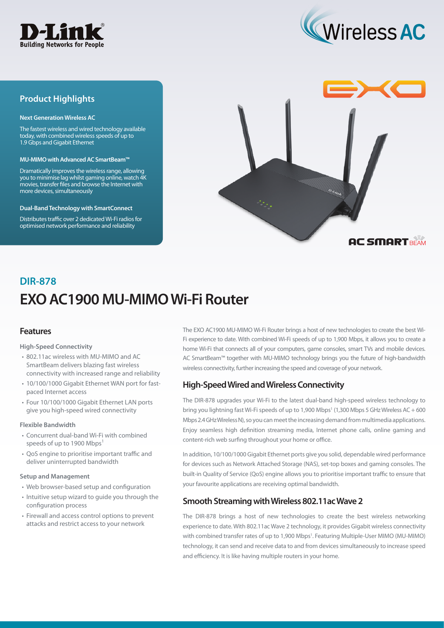



## **Product Highlights**

#### **Next Generation Wireless AC**

The fastest wireless and wired technology available today, with combined wireless speeds of up to 1.9 Gbps and Gigabit Ethernet

#### **MU-MIMO with Advanced AC SmartBeam™**

Dramatically improves the wireless range, allowing you to minimise lag whilst gaming online, watch 4K movies, transfer files and browse the Internet with more devices, simultaneously

#### **Dual-Band Technology with SmartConnect**

Distributes traffic over 2 dedicated Wi-Fi radios for optimised network performance and reliability



# **EXO AC1900 MU-MIMO Wi-Fi Router DIR-878**

## **Features**

#### **High-Speed Connectivity**

- 802.11ac wireless with MU-MIMO and AC SmartBeam delivers blazing fast wireless connectivity with increased range and reliability
- 10/100/1000 Gigabit Ethernet WAN port for fastpaced Internet access
- Four 10/100/1000 Gigabit Ethernet LAN ports give you high-speed wired connectivity

#### **Flexible Bandwidth**

- Concurrent dual-band Wi-Fi with combined speeds of up to 1900 Mbps<sup>1</sup>
- QoS engine to prioritise important traffic and deliver uninterrupted bandwidth

#### **Setup and Management**

- Web browser-based setup and configuration
- Intuitive setup wizard to guide you through the configuration process
- Firewall and access control options to prevent attacks and restrict access to your network

The EXO AC1900 MU-MIMO Wi-Fi Router brings a host of new technologies to create the best Wi-Fi experience to date. With combined Wi-Fi speeds of up to 1,900 Mbps, it allows you to create a home Wi-Fi that connects all of your computers, game consoles, smart TVs and mobile devices. AC SmartBeam™ together with MU-MIMO technology brings you the future of high-bandwidth wireless connectivity, further increasing the speed and coverage of your network.

## **High-Speed Wired and Wireless Connectivity**

The DIR-878 upgrades your Wi-Fi to the latest dual-band high-speed wireless technology to bring you lightning fast Wi-Fi speeds of up to 1,900 Mbps<sup>1</sup> (1,300 Mbps 5 GHz Wireless AC + 600 Mbps 2.4 GHz Wireless N), so you can meet the increasing demand from multimedia applications. Enjoy seamless high definition streaming media, Internet phone calls, online gaming and content-rich web surfing throughout your home or office.

In addition, 10/100/1000 Gigabit Ethernet ports give you solid, dependable wired performance for devices such as Network Attached Storage (NAS), set-top boxes and gaming consoles. The built-in Quality of Service (QoS) engine allows you to prioritise important traffic to ensure that your favourite applications are receiving optimal bandwidth.

### **Smooth Streaming with Wireless 802.11ac Wave 2**

The DIR-878 brings a host of new technologies to create the best wireless networking experience to date. With 802.11ac Wave 2 technology, it provides Gigabit wireless connectivity with combined transfer rates of up to 1,900 Mbps<sup>1</sup>. Featuring Multiple-User MIMO (MU-MIMO) technology, it can send and receive data to and from devices simultaneously to increase speed and efficiency. It is like having multiple routers in your home.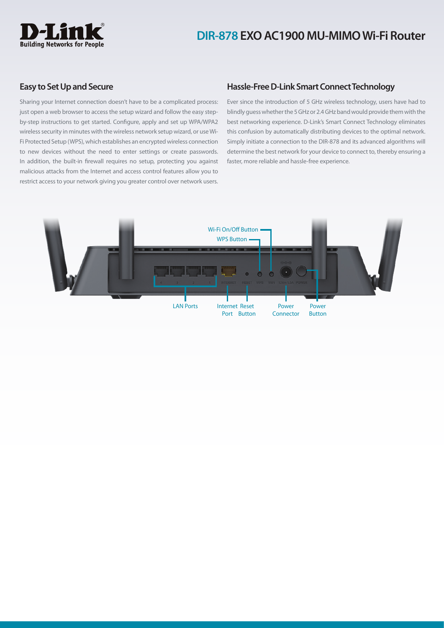

## **DIR-878 EXO AC1900 MU-MIMO Wi-Fi Router**

### **Easy to Set Up and Secure**

Sharing your Internet connection doesn't have to be a complicated process: just open a web browser to access the setup wizard and follow the easy stepby-step instructions to get started. Configure, apply and set up WPA/WPA2 wireless security in minutes with the wireless network setup wizard, or use Wi-Fi Protected Setup (WPS), which establishes an encrypted wireless connection to new devices without the need to enter settings or create passwords. In addition, the built-in firewall requires no setup, protecting you against malicious attacks from the Internet and access control features allow you to restrict access to your network giving you greater control over network users.

## **Hassle-Free D-Link Smart Connect Technology**

Ever since the introduction of 5 GHz wireless technology, users have had to blindly guess whether the 5 GHz or 2.4 GHz band would provide them with the best networking experience. D-Link's Smart Connect Technology eliminates this confusion by automatically distributing devices to the optimal network. Simply initiate a connection to the DIR-878 and its advanced algorithms will determine the best network for your device to connect to, thereby ensuring a faster, more reliable and hassle-free experience.